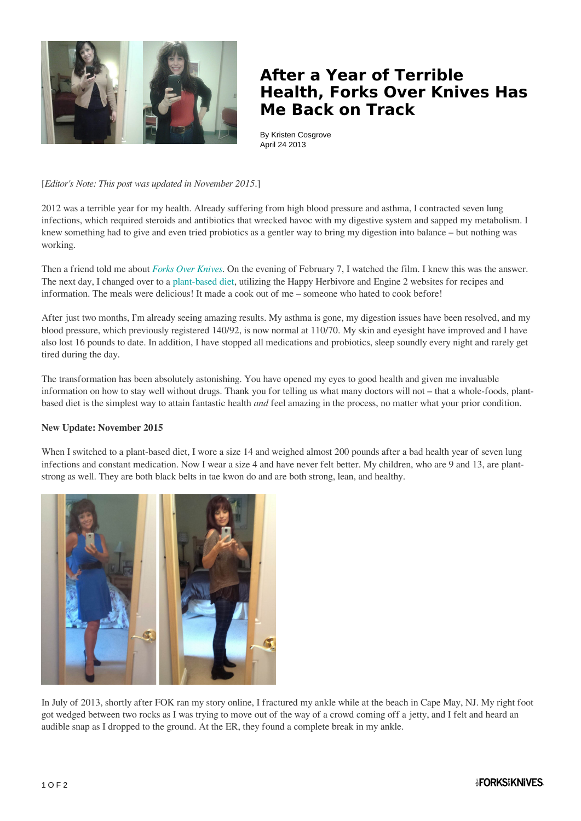

## **After a Year of Terrible Health, Forks Over Knives Has Me Back on Track**

By Kristen Cosgrove April 24 2013

[*Editor's Note: This post was updated in November 2015*.]

2012 was a terrible year for my health. Already suffering from high blood pressure and asthma, I contracted seven lung infections, which required steroids and antibiotics that wrecked havoc with my digestive system and sapped my metabolism. I knew something had to give and even tried probiotics as a gentler way to bring my digestion into balance – but nothing was working.

Then a friend told me about *[Forks Over Knives](http://www.forksoverknives.com/the-film/)*. On the evening of February 7, I watched the film. I knew this was the answer. The next day, I changed over to a [plant-based diet](http://www.forksoverknives.com/what-to-eat/), utilizing the Happy Herbivore and Engine 2 websites for recipes and information. The meals were delicious! It made a cook out of me – someone who hated to cook before!

After just two months, I'm already seeing amazing results. My asthma is gone, my digestion issues have been resolved, and my blood pressure, which previously registered 140/92, is now normal at 110/70. My skin and eyesight have improved and I have also lost 16 pounds to date. In addition, I have stopped all medications and probiotics, sleep soundly every night and rarely get tired during the day.

The transformation has been absolutely astonishing. You have opened my eyes to good health and given me invaluable information on how to stay well without drugs. Thank you for telling us what many doctors will not – that a whole-foods, plantbased diet is the simplest way to attain fantastic health *and* feel amazing in the process, no matter what your prior condition.

## **New Update: November 2015**

When I switched to a plant-based diet, I wore a size 14 and weighed almost 200 pounds after a bad health year of seven lung infections and constant medication. Now I wear a size 4 and have never felt better. My children, who are 9 and 13, are plantstrong as well. They are both black belts in tae kwon do and are both strong, lean, and healthy.



In July of 2013, shortly after FOK ran my story online, I fractured my ankle while at the beach in Cape May, NJ. My right foot got wedged between two rocks as I was trying to move out of the way of a crowd coming off a jetty, and I felt and heard an audible snap as I dropped to the ground. At the ER, they found a complete break in my ankle.